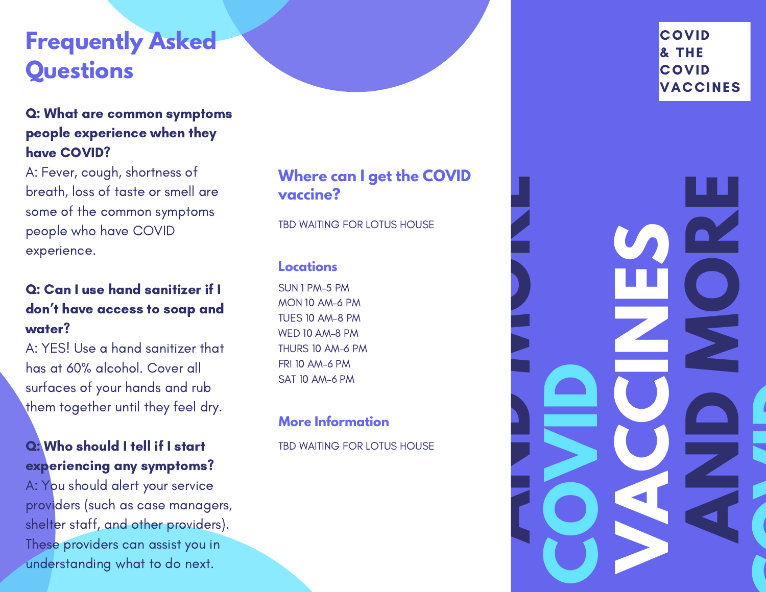## **Frequently Asked Questions**

#### Q: What are common symptoms people experience when they have COVID?

A: Fever, cough, shortness of breath, loss of taste or smell are some of the common symptoms people who have COVID experience.

#### Q: Can I use hand sanitizer if I don't have access to soap and water?

A: YES! Use a hand sanitizer that has at 60% alcohol. Cover all surfaces of your hands and rub them together until they feel dry.

#### Q: Who should I tell if I start experiencing any symptoms?

A: You should alert your service providers (such as case managers, shelter staff, and other providers). These providers can assist you in understanding what to do next.

#### **Where can I get the COVID vaccine?**

TBD WAITING FOR LOTUS HOUSE

#### **Locations**

SUN 1 PM–5 PM MON 10 AM–6 PM TUES 10 AM–8 PM WED 10 AM–8 PM THURS 10 AM–6 PM FRI 10 AM–6 PM SAT 10 AM–6 PM

#### **More Information**

TBD WAITING FOR LOTUS HOUSE

#### **COVID** & THE **COVID** VACCINES

**A**

**C**

**I**

**D**

**OVER** 

**N**

**VAC** 

**C**

**N**

**E**

**S** 

**D**

**M**

**O**

**R**

**E**

**C**

**A** 

**N**

**D**

**M**

**O**

**R**

**E**

**I**

**D**

**DV**